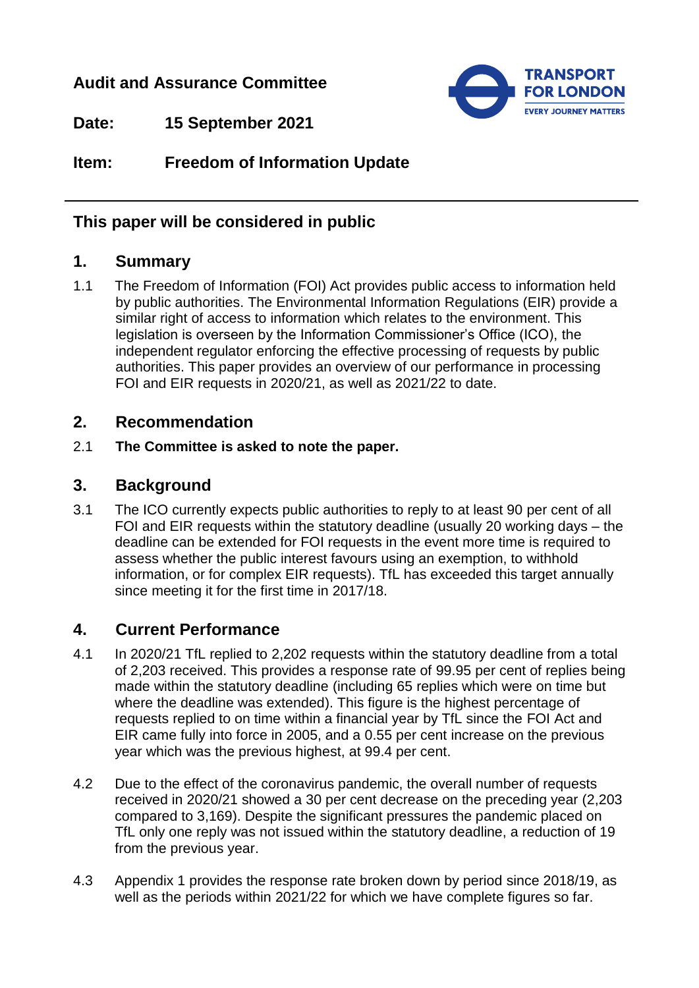## **Audit and Assurance Committee**



**Date: 15 September 2021**

**Item: Freedom of Information Update**

## **This paper will be considered in public**

## **1. Summary**

1.1 The Freedom of Information (FOI) Act provides public access to information held by public authorities. The Environmental Information Regulations (EIR) provide a similar right of access to information which relates to the environment. This legislation is overseen by the Information Commissioner's Office (ICO), the independent regulator enforcing the effective processing of requests by public authorities. This paper provides an overview of our performance in processing FOI and EIR requests in 2020/21, as well as 2021/22 to date.

## **2. Recommendation**

2.1 **The Committee is asked to note the paper.**

## **3. Background**

3.1 The ICO currently expects public authorities to reply to at least 90 per cent of all FOI and EIR requests within the statutory deadline (usually 20 working days – the deadline can be extended for FOI requests in the event more time is required to assess whether the public interest favours using an exemption, to withhold information, or for complex EIR requests). TfL has exceeded this target annually since meeting it for the first time in 2017/18.

# **4. Current Performance**

- 4.1 In 2020/21 TfL replied to 2,202 requests within the statutory deadline from a total of 2,203 received. This provides a response rate of 99.95 per cent of replies being made within the statutory deadline (including 65 replies which were on time but where the deadline was extended). This figure is the highest percentage of requests replied to on time within a financial year by TfL since the FOI Act and EIR came fully into force in 2005, and a 0.55 per cent increase on the previous year which was the previous highest, at 99.4 per cent.
- 4.2 Due to the effect of the coronavirus pandemic, the overall number of requests received in 2020/21 showed a 30 per cent decrease on the preceding year (2,203 compared to 3,169). Despite the significant pressures the pandemic placed on TfL only one reply was not issued within the statutory deadline, a reduction of 19 from the previous year.
- 4.3 Appendix 1 provides the response rate broken down by period since 2018/19, as well as the periods within 2021/22 for which we have complete figures so far.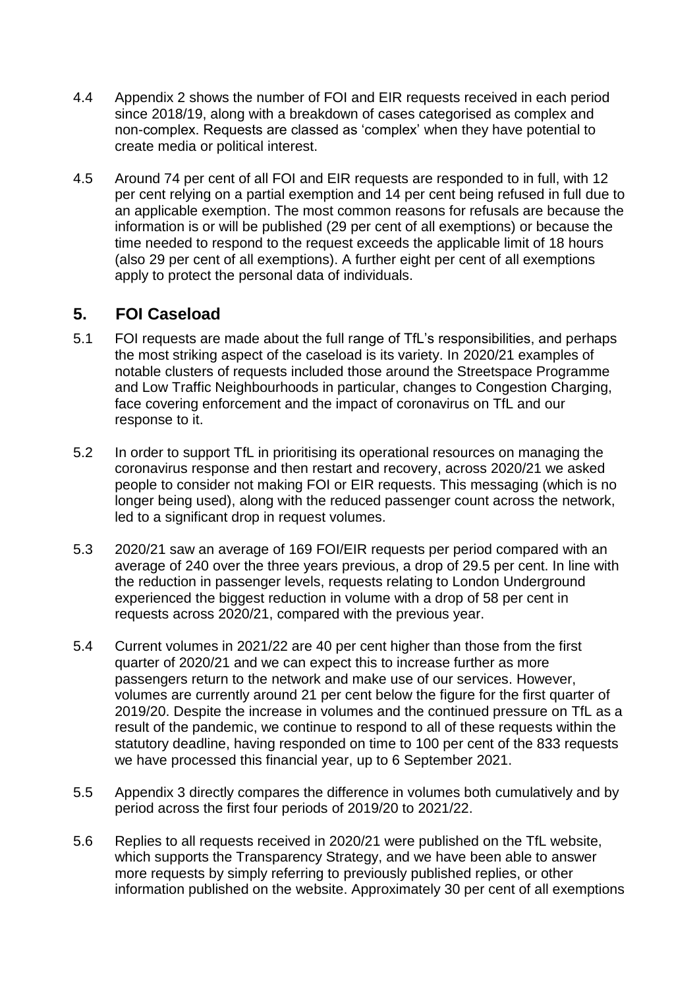- 4.4 Appendix 2 shows the number of FOI and EIR requests received in each period since 2018/19, along with a breakdown of cases categorised as complex and non-complex. Requests are classed as 'complex' when they have potential to create media or political interest.
- 4.5 Around 74 per cent of all FOI and EIR requests are responded to in full, with 12 per cent relying on a partial exemption and 14 per cent being refused in full due to an applicable exemption. The most common reasons for refusals are because the information is or will be published (29 per cent of all exemptions) or because the time needed to respond to the request exceeds the applicable limit of 18 hours (also 29 per cent of all exemptions). A further eight per cent of all exemptions apply to protect the personal data of individuals.

# **5. FOI Caseload**

- 5.1 FOI requests are made about the full range of TfL's responsibilities, and perhaps the most striking aspect of the caseload is its variety. In 2020/21 examples of notable clusters of requests included those around the Streetspace Programme and Low Traffic Neighbourhoods in particular, changes to Congestion Charging, face covering enforcement and the impact of coronavirus on TfL and our response to it.
- 5.2 In order to support TfL in prioritising its operational resources on managing the coronavirus response and then restart and recovery, across 2020/21 we asked people to consider not making FOI or EIR requests. This messaging (which is no longer being used), along with the reduced passenger count across the network, led to a significant drop in request volumes.
- 5.3 2020/21 saw an average of 169 FOI/EIR requests per period compared with an average of 240 over the three years previous, a drop of 29.5 per cent. In line with the reduction in passenger levels, requests relating to London Underground experienced the biggest reduction in volume with a drop of 58 per cent in requests across 2020/21, compared with the previous year.
- 5.4 Current volumes in 2021/22 are 40 per cent higher than those from the first quarter of 2020/21 and we can expect this to increase further as more passengers return to the network and make use of our services. However, volumes are currently around 21 per cent below the figure for the first quarter of 2019/20. Despite the increase in volumes and the continued pressure on TfL as a result of the pandemic, we continue to respond to all of these requests within the statutory deadline, having responded on time to 100 per cent of the 833 requests we have processed this financial year, up to 6 September 2021.
- 5.5 Appendix 3 directly compares the difference in volumes both cumulatively and by period across the first four periods of 2019/20 to 2021/22.
- 5.6 Replies to all requests received in 2020/21 were published on the TfL website, which supports the Transparency Strategy, and we have been able to answer more requests by simply referring to previously published replies, or other information published on the website. Approximately 30 per cent of all exemptions